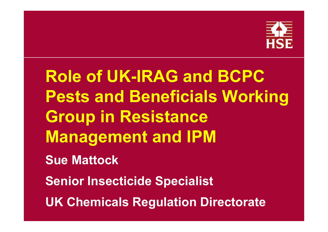

**Role of UK-IRAG and BCPC Pests and Beneficials Working Group in Resistance Management and IPM Sue MattockSenior Insecticide Specialist UK Chemicals Regulation Directorate**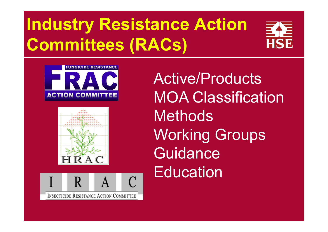# **Industry Resistance Action Committees (RACs)**









Active/ProductsMOA Classification**Methods** Working Groups **Guidance Education**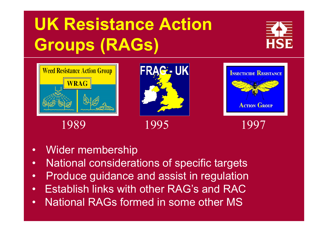# **UK Resistance Action Groups (RAGs)**







1989 1995 1997



- •Wider membership
- $\bullet$ National considerations of specific targets
- •Produce guidance and assist in regulation
- •Establish links with other RAG's and RAC
- •National RAGs formed in some other MS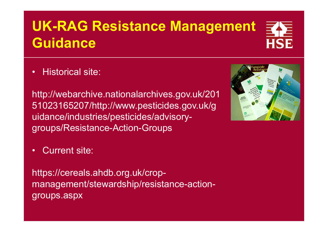## **UK-RAG Resistance Management Guidance**

•Historical site:

http://webarchive.nationalarchives.gov.uk/201 51023165207/http://www.pesticides.gov.uk/g uidance/industries/pesticides/advisorygroups/Resistance-Action-Groups

•Current site:

https://cereals.ahdb.org.uk/cropmanagement/stewardship/resistance-actiongroups.aspx



HSE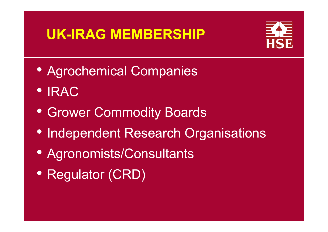### **UK-IRAG MEMBERSHIP**



- Agrochemical Companies
- IRAC
- Grower Commodity Boards
- Independent Research Organisations
- Agronomists/Consultants
- Regulator (CRD)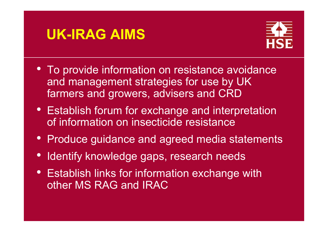### **UK-IRAG AIMS**



- To provide information on resistance avoidance and management strategies for use by UK farmers and growers, advisers and CRD
- Establish forum for exchange and interpretation of information on insecticide resistance
- Produce guidance and agreed media statements
- $\bullet$ Identify knowledge gaps, research needs
- Establish links for information exchange with other MS RAG and IRAC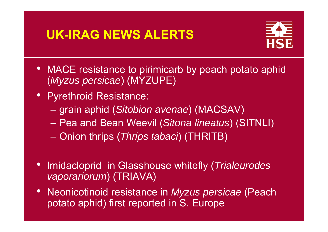### **UK-IRAG NEWS ALERTS**



- $\bullet$ MACE resistance to pirimicarb by peach potato aphid (*Myzus persicae*) (MYZUPE)
- Pyrethroid Resistance:
	- –grain aphid (*Sitobion avenae*) (MACSAV)
	- Pea and Bean Weevil (*Sitona lineatus*) (SITNLI)
	- Onion thrips (*Thrips tabaci*) (THRITB)
- $\bullet$  Imidacloprid in Glasshouse whitefly (*Trialeurodes vaporariorum*) (TRIAVA)
- • Neonicotinoid resistance in *Myzus persicae* (Peach potato aphid) first reported in S. Europe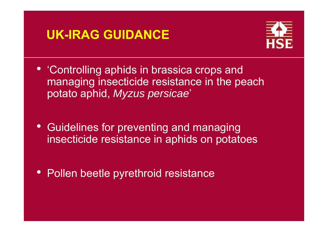### **UK-IRAG GUIDANCE**



- 'Controlling aphids in brassica crops and managing insecticide resistance in the peach potato aphid, *Myzus persicae*'
- Guidelines for preventing and managing insecticide resistance in aphids on potatoes
- Pollen beetle pyrethroid resistance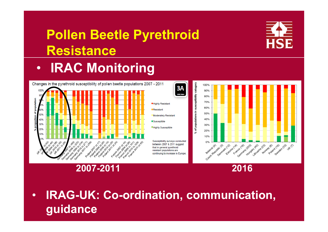### **Pollen Beetle Pyrethroid Resistance**

### $\bullet$ **IRAC Monitoring**





**HSE** 

### **2007-2011 2016**

2016

• **IRAG-UK: Co-ordination, communication, guidance** 

 $3A$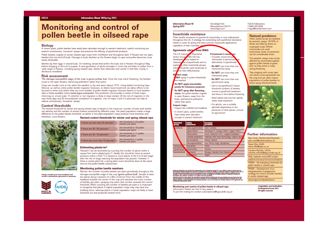### **Information Sheet 18/Spring 2013**

### **Monitoring and control of** pollen beetle in oilseed rape

### **Biology**

In recent years, pollen beetles have rarely been abundant enough to warrant treatment: careful monitoring can prevent unnecessary 'insurance' sprays and preserve the efficacy of pyrethroid products.

Pollen beetles migrate to winter oilseed rape grops from mid-March and throughout April. If flowers are not open. beetles bite into and kill buds. Damage to buds declines as the flowers begin to open and pollen becomes more easily obtainable.

Beetles lay their eggs in closed buds. On hatching, larvae feed within the buds and in flowers throughout May before dropping to the soil to pupate. A new generation of adults emerges in June-July and feed on pollen from a wide range of flowers, including spring oilseed rape. Adults then hibernate over winter in leaf litter, mainly in dazidi va in succedbook

### **Risk assessment**

The damage-susceptible stage of the grop is green-vellow bud. Once the grop starts flowering, the beetles move to the open flowers, becoming pollinators rather than pests.

Crops are usually most at risk when the weather is dry and warm (above 15°C). Using baited monitoring traps (Oecos), as well as online pollen beetle migration forecasts, to detect local movement can allow efforts to be focused to when and where they are most needed. A pollen beetle migration forecast based on local weather data is freely available online (www.hgca.com/pests). This prediction tool provides a series of three maps, informing on a local scale: (1) whether or not migration is likely to have started. (2) the risk of migration in the next three days and (3) the predicted completion of migration. Use of maps 2 and 3 in particular can help to reduce unnecessary 'insurance' sprays.

### **Control thresholds**

The revised threshold for winter and spring oilseed rape is based on the maximum number of buds each beetle can destroy and the number of excess flowers produced by different crops. The plant population makes a large difference to the pollen beetle threshold, as plants in low plant population crops produce more branches and,

therefore, more flowers.

### stand another thresholds for crimins and contain allocad cases



ider your local conditions and<br>fessional apronomist if necessary.

| ievised control direstionas for winter and spring onseed rapi |                                                  |
|---------------------------------------------------------------|--------------------------------------------------|
| If there are less than 30 plants/m <sup>2</sup>               | the threshold is 25 pollen<br>beetles per plant  |
| If there are 30-50 plants/m <sup>2</sup>                      | the threshold is 18 pollen<br>beetles per plant  |
| If there are 50-70 plants/m <sup>2</sup>                      | the threshold is 11 pollen.<br>beetles per plant |
|                                                               | that throughout in 7 mollant                     |

If there are more than 70 plants/m<sup>2</sup> beetles per plant

### Estimating plants/m<sup>2</sup>

Plants/m<sup>2</sup> can be estimated by counting the number of plants within a square foot and multiplying by 11. Ideally this should be done at several positions within a field. It is easiest to count plants at the 5 to 6 leaf stage after the risk of slugs reducing the population has passed. However, if there is winter plant kill, a spring plant count should be done at the same time as the pollen beetle assessment.

### Monitoring pollen beetle numbers

Monitor the number of pollen beetles per plant periodically throughout the damage-susceptible stage of the crop (green-yellow bud). Sample at least ten plants along a transect of a 30m minimum from the middle of the headland towards the centre of the crop and calculate the mean number of beetles per plant, spraying only when that number exceeds the control threshold. When counting the number of beetles per plant it is important to recognise that plants in higher population crops may only have one budding shoot, whereas plants in lower population crops are likely to have branched out and produced several more.

Information Sheet 10

Stoneleigh Park Warwickshire CV8 2TL www.hans.com

If treatment is nece

 $-$  Consider neoninglin

neonicotinoid spray

indoxacarb spray

numetrozine snow

rarely need treatment

an agronomist

indoxacarb or pymetro

alternatives to ovrethroid

- Do NOT use more than or

- Do NOT use more than one

### Insecticide resistance

Pollen beetle resistance to ovrethroid insecticides is now widespread throughout the UK. A strategy for contending with pyrethroid resistance needs to cover all spring and early summer insecticide applications. regardless of their intended ta

### Agronomic advise from IRAG

The UK Insectio Resistance **RAG-UKI has Action Group** wice based on developed se of pyrethroids and on reducing. other insecticide groups. explo sadvi should be used cautiously to rus thair affactivenage pres

nitor crops **NILY** spray if current thresholds are reached

D.

Do NOT apply insecticides purely for insurance purposes

Do NOT spray after flowering starts: the pollen beetles migrate to open flowers, away from the

buds, and become pollinators rather than pests

**Inspect crops** Inspect the midfield and headland

- In recent years, pollen beetles have rarely been abundant

enough to warrant treatment

| <b>Chemical</b><br>'OUD | <b>Active</b><br>substance | <b>Example</b><br>products                |
|-------------------------|----------------------------|-------------------------------------------|
| <i><b>urothroid</b></i> | Alpha-cypermethrin         | Alart, Contast                            |
|                         | Cypermethrin               | Permasect C, Sherpa 100EC, Toppel 100EC   |
|                         | Doltamothrin               | Docis, Dolta-M 2.5EC, Ladgold Doltaland   |
|                         | Lambda-cyhalothrin         | Hallmark with Zeon Technology, Clayton Sp |
|                         | Tau-fluvalinato            | Klartan, Mavrik                           |
|                         | Zota-cypermethrin          | Fury 10EW, Angri, Symphony                |
| Indoxacarb              | Indoxacarb                 | Rumo                                      |
| Pymetrozina             | Pymetrozine                | Plenum                                    |
| Noonicotinoid           | scloprid                   | Biscaya, Standon Zero Toleranco           |
|                         | Aco <sub>b</sub><br>dond   | InSyst                                    |
|                         |                            |                                           |

write top agriculture and reaficulture coveragement again, operating topage its reacal division, seem to ensure that the<br>Insurantian contained within this cocurrent is accurate at the time or printing, no warranty is given too maximum extent permitted by the Line Agriculture and worldculpes consequenced exam.)<br>cannage or rejury nowhorest caused incounting tract caused by registration or stareme crecity<br>incomplian and opinions contained in ar members namin to trace comes and proprietory products without stating that they are protected open not impre teat they<br>may be regarded as unprotected and trust ene our general use, we encomment or handid products is intere criticism impaire or other adematik<br>Hofficulture coverationed accre

### Monitoring and control of pollen beetle in oilseed rape

Information Sheets are free to levy payers. To join the mailing list contact subscriptions@hgca.ahdb.org.uk

**LICCA Dublications** T09452450009 E haca@cambertown.com

### **Natural predators**

Pollen beetle larvae are attacked by parasitic wasns, 25-50% of larvae are killed by these on uncreased crops. Where insecticides are used extensively, levels of parasitism can be considerably lower.

The parasitic wasps may not be affected by insecticides applied against pollen beetle at green bud, as they arrive in crops during flowering.

Trap cropping with turnip rape can attract more parasitoids into the crop and can often reduce populations of pollen beetles to elow spray threshold levels.



### **Further information**

Sam Cook, Rothamsted Research sam.cook@rothamsted.ac.uk Steve Elis, ADAS steve ellis@adas.co.uk Caroline Nicholls, HGCA

caroline.nicholls@hgca.ahdb.org.uk IRAC website www.IRAC-online.

org/teams/crop-protection/coleoptera PR495 - Re-evaluating thresholds for pollen beetle in oilseed rape PR504 - Development of an integrated pest management

strategy for control of pollen beetles in winter oilseed rape www.hopa.com/publications

> *CAgriculture and Horticulture* Development Board 2013. All rights reserved





**HCCA** 

### **Spring 2013**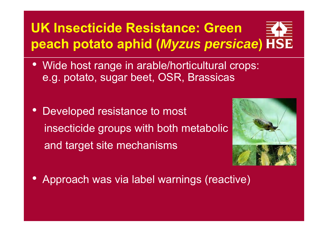## **UK Insecticide Resistance: Green peach potato aphid (***Myzus persicae***)**

- Wide host range in arable/horticultural crops: e.g. potato, sugar beet, OSR, Brassicas
- $\bullet$  Developed resistance to most insecticide groups with both metabolic and target site mechanisms



 $\bullet$ Approach was via label warnings (reactive)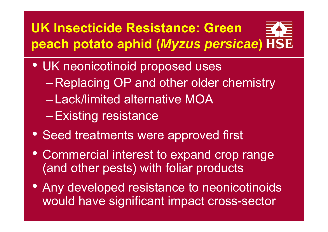## **UK Insecticide Resistance: Green peach potato aphid (***Myzus persicae***)**

- UK neonicotinoid proposed uses
	- Replacing OP and other older chemistry
	- Lack/limited alternative MOA
	- –Existing resistance
- Seed treatments were approved first
- Commercial interest to expand crop range (and other pests) with foliar products
- Any developed resistance to neonicotinoids would have significant impact cross-sector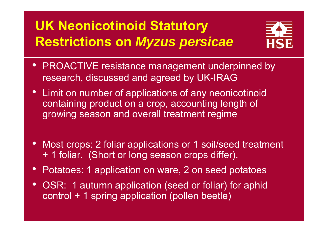### **UK Neonicotinoid Statutory Restrictions on** *Myzus persicae*



- PROACTIVE resistance management underpinned by research, discussed and agreed by UK-IRAG
- Limit on number of applications of any neonicotinoid containing product on a crop, accounting length of growing season and overall treatment regime
- $\bullet$ Most crops: 2 foliar applications or 1 soil/seed treatment + 1 foliar. (Short or long season crops differ).
- $\bullet$ Potatoes: 1 application on ware, 2 on seed potatoes
- OSR: 1 autumn application (seed or foliar) for aphid control + 1 spring application (pollen beetle)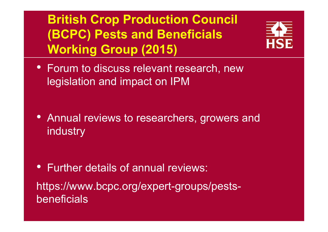### **British Crop Production Council (BCPC) Pests and Beneficials Working Group (2015)**



• Forum to discuss relevant research, new legislation and impact on IPM

• Annual reviews to researchers, growers and industry

• Further details of annual reviews: https://www.bcpc.org/expert-groups/pestsbeneficials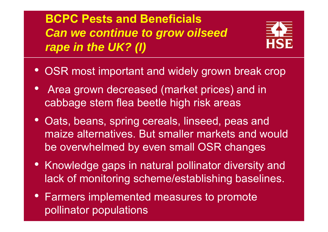**BCPC Pests and Beneficials***Can we continue to grow oilseed rape in the UK? (I)*



- $\bullet$ OSR most important and widely grown break crop
- $\bullet$  Area grown decreased (market prices) and in cabbage stem flea beetle high risk areas
- $\bullet$  Oats, beans, spring cereals, linseed, peas and maize alternatives. But smaller markets and would be overwhelmed by even small OSR changes
- Knowledge gaps in natural pollinator diversity and lack of monitoring scheme/establishing baselines.
- Farmers implemented measures to promote pollinator populations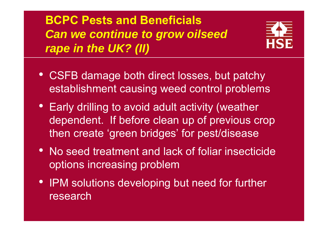**BCPC Pests and Beneficials***Can we continue to grow oilseed rape in the UK? (II)*



- CSFB damage both direct losses, but patchy establishment causing weed control problems
- Early drilling to avoid adult activity (weather dependent. If before clean up of previous crop then create 'green bridges' for pest/disease
- No seed treatment and lack of foliar insecticide options increasing problem
- IPM solutions developing but need for further research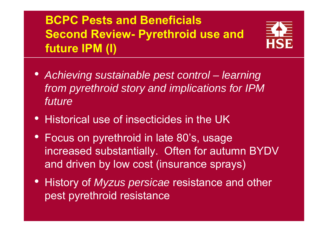### **BCPC Pests and Beneficials Second Review- Pyrethroid use and future IPM (I)**



- $\bullet$ Achieving sustainable pest control – learning *from pyrethroid story and implications for IPM future*
- $\bullet$ Historical use of insecticides in the UK
- $\bullet$  Focus on pyrethroid in late 80's, usage increased substantially. Often for autumn BYDV and driven by low cost (insurance sprays)
- History of *Myzus persicae* resistance and other pest pyrethroid resistance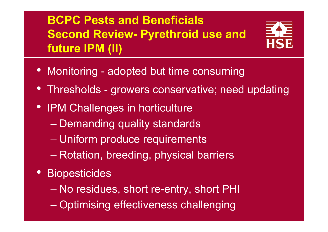### **BCPC Pests and BeneficialsSecond Review- Pyrethroid use and future IPM (II)**



- Monitoring adopted but time consuming
- Thresholds growers conservative; need updating
- IPM Challenges in horticulture
	- –Demanding quality standards
	- –Uniform produce requirements
	- –Rotation, breeding, physical barriers
- Biopesticides
	- –No residues, short re-entry, short PHI
	- Optimising effectiveness challenging